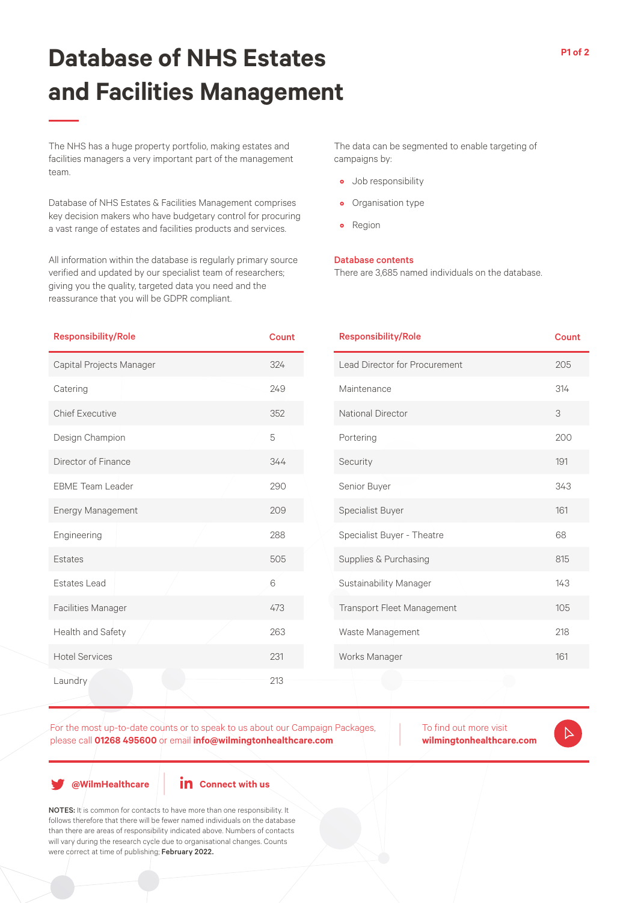## **Database of NHS Estates and Facilities Management**

**P1 of 2**

The NHS has a huge property portfolio, making estates and facilities managers a very important part of the management team.

Database of NHS Estates & Facilities Management comprises key decision makers who have budgetary control for procuring a vast range of estates and facilities products and services.

All information within the database is regularly primary source verified and updated by our specialist team of researchers; giving you the quality, targeted data you need and the reassurance that you will be GDPR compliant.

The data can be segmented to enable targeting of campaigns by:

- Job responsibility
- Organisation type
- Region

## Database contents

There are 3,685 named individuals on the database.

| <b>Responsibility/Role</b> | <b>Count</b> | <b>Responsibility/Role</b>    | <b>Count</b> |
|----------------------------|--------------|-------------------------------|--------------|
| Capital Projects Manager   | 324          | Lead Director for Procurement | 205          |
| Catering                   | 249          | Maintenance                   | 314          |
| <b>Chief Executive</b>     | 352          | National Director             | 3            |
| Design Champion            | 5            | Portering                     | 200          |
| Director of Finance        | 344          | Security                      | 191          |
| <b>EBME</b> Team Leader    | 290          | Senior Buyer                  | 343          |
| Energy Management          | 209          | Specialist Buyer              | 161          |
| Engineering                | 288          | Specialist Buyer - Theatre    | 68           |
| Estates                    | 505          | Supplies & Purchasing         | 815          |
| <b>Estates Lead</b>        | $6\,$        | Sustainability Manager        | 143          |
| <b>Facilities Manager</b>  | 473          | Transport Fleet Management    | 105          |
| Health and Safety          | 263          | Waste Management              | 218          |
| <b>Hotel Services</b>      | 231          | Works Manager                 | 161          |
| Laundry                    | 213          |                               |              |

For the most up-to-date counts or to speak to us about our Campaign Packages, please call **01268 495600** or email **info@wilmingtonhealthcare.com**

To find out more visit **wilmingtonhealthcare.com**

 $\triangleright$ 

**@WilmHealthcare**

**in** Connect with us

NOTES: It is common for contacts to have more than one responsibility. It follows therefore that there will be fewer named individuals on the database than there are areas of responsibility indicated above. Numbers of contacts will vary during the research cycle due to organisational changes. Counts were correct at time of publishing; February 2022.